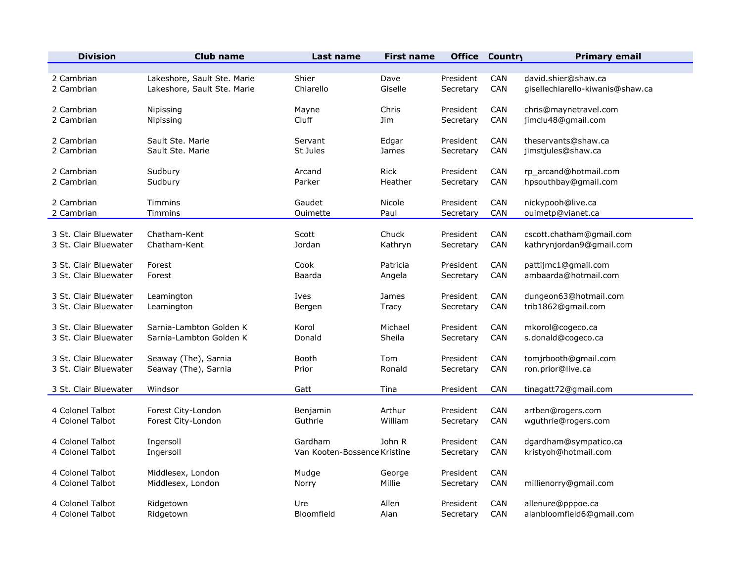| <b>Division</b>       | <b>Club name</b>            | Last name                    | <b>First name</b> | <b>Office</b> | <b>Country</b> | <b>Primary email</b>             |
|-----------------------|-----------------------------|------------------------------|-------------------|---------------|----------------|----------------------------------|
| 2 Cambrian            | Lakeshore, Sault Ste. Marie | Shier                        | Dave              | President     | CAN            | david.shier@shaw.ca              |
| 2 Cambrian            | Lakeshore, Sault Ste. Marie | Chiarello                    | Giselle           | Secretary     | CAN            | gisellechiarello-kiwanis@shaw.ca |
| 2 Cambrian            | Nipissing                   | Mayne                        | Chris             | President     | CAN            | chris@maynetravel.com            |
| 2 Cambrian            | Nipissing                   | Cluff                        | <b>Jim</b>        | Secretary     | CAN            | jimclu48@gmail.com               |
| 2 Cambrian            | Sault Ste. Marie            | Servant                      | Edgar             | President     | CAN            | theservants@shaw.ca              |
| 2 Cambrian            | Sault Ste, Marie            | St Jules                     | James             | Secretary     | CAN            | jimstjules@shaw.ca               |
| 2 Cambrian            | Sudbury                     | Arcand                       | <b>Rick</b>       | President     | CAN            | rp_arcand@hotmail.com            |
| 2 Cambrian            | Sudbury                     | Parker                       | Heather           | Secretary     | CAN            | hpsouthbay@gmail.com             |
| 2 Cambrian            | Timmins                     | Gaudet                       | Nicole            | President     | <b>CAN</b>     | nickypooh@live.ca                |
| 2 Cambrian            | Timmins                     | Ouimette                     | Paul              | Secretary     | CAN            | ouimetp@vianet.ca                |
| 3 St. Clair Bluewater | Chatham-Kent                | Scott                        | Chuck             | President     | CAN            | cscott.chatham@gmail.com         |
| 3 St. Clair Bluewater | Chatham-Kent                | Jordan                       | Kathryn           | Secretary     | CAN            | kathrynjordan9@gmail.com         |
| 3 St. Clair Bluewater | Forest                      | Cook                         | Patricia          | President     | <b>CAN</b>     | pattijmc1@gmail.com              |
| 3 St. Clair Bluewater | Forest                      | Baarda                       | Angela            | Secretary     | CAN            | ambaarda@hotmail.com             |
| 3 St. Clair Bluewater | Leamington                  | Ives                         | James             | President     | CAN            | dungeon63@hotmail.com            |
| 3 St. Clair Bluewater | Leamington                  | Bergen                       | Tracy             | Secretary     | <b>CAN</b>     | trib1862@gmail.com               |
| 3 St. Clair Bluewater | Sarnia-Lambton Golden K     | Korol                        | Michael           | President     | CAN            | mkorol@cogeco.ca                 |
| 3 St. Clair Bluewater | Sarnia-Lambton Golden K     | Donald                       | Sheila            | Secretary     | <b>CAN</b>     | s.donald@cogeco.ca               |
| 3 St. Clair Bluewater | Seaway (The), Sarnia        | Booth                        | Tom               | President     | <b>CAN</b>     | tomjrbooth@gmail.com             |
| 3 St. Clair Bluewater | Seaway (The), Sarnia        | Prior                        | Ronald            | Secretary     | <b>CAN</b>     | ron.prior@live.ca                |
| 3 St. Clair Bluewater | Windsor                     | Gatt                         | Tina              | President     | <b>CAN</b>     | tinagatt72@gmail.com             |
| 4 Colonel Talbot      | Forest City-London          | Benjamin                     | Arthur            | President     | <b>CAN</b>     | artben@rogers.com                |
| 4 Colonel Talbot      | Forest City-London          | Guthrie                      | William           | Secretary     | CAN            | wguthrie@rogers.com              |
| 4 Colonel Talbot      | Ingersoll                   | Gardham                      | John R            | President     | CAN            | dgardham@sympatico.ca            |
| 4 Colonel Talbot      | Ingersoll                   | Van Kooten-Bossence Kristine |                   | Secretary     | <b>CAN</b>     | kristyoh@hotmail.com             |
| 4 Colonel Talbot      | Middlesex, London           | Mudge                        | George            | President     | CAN            | millienorry@gmail.com            |
| 4 Colonel Talbot      | Middlesex, London           | Norry                        | Millie            | Secretary     | <b>CAN</b>     |                                  |
| 4 Colonel Talbot      | Ridgetown                   | Ure                          | Allen             | President     | <b>CAN</b>     | allenure@pppoe.ca                |
| 4 Colonel Talbot      | Ridgetown                   | Bloomfield                   | Alan              | Secretary     | <b>CAN</b>     | alanbloomfield6@gmail.com        |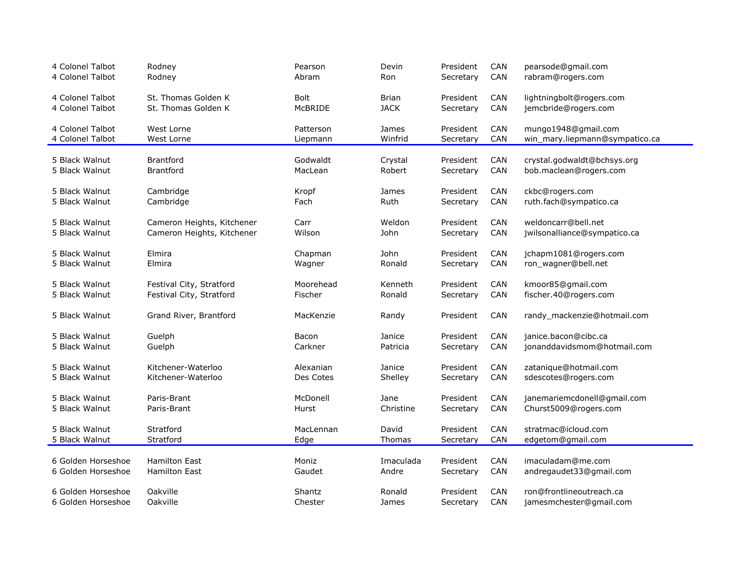| 4 Colonel Talbot                 | Rodney                     | Pearson           | Devin             | President              | CAN        | pearsode@gmail.com                                   |
|----------------------------------|----------------------------|-------------------|-------------------|------------------------|------------|------------------------------------------------------|
| 4 Colonel Talbot                 | Rodney                     | Abram             | Ron               | Secretary              | CAN        | rabram@rogers.com                                    |
| 4 Colonel Talbot                 | St. Thomas Golden K        | <b>Bolt</b>       | <b>Brian</b>      | President              | CAN        | lightningbolt@rogers.com                             |
| 4 Colonel Talbot                 | St. Thomas Golden K        | McBRIDE           | <b>JACK</b>       | Secretary              | CAN        | jemcbride@rogers.com                                 |
| 4 Colonel Talbot                 | West Lorne                 | Patterson         | James             | President              | CAN        | mungo1948@gmail.com                                  |
| 4 Colonel Talbot                 | West Lorne                 | Liepmann          | Winfrid           | Secretary              | CAN        | win_mary.liepmann@sympatico.ca                       |
| 5 Black Walnut                   | <b>Brantford</b>           | Godwaldt          | Crystal           | President              | CAN        | crystal.godwaldt@bchsys.org                          |
| 5 Black Walnut                   | <b>Brantford</b>           | MacLean           | Robert            | Secretary              | CAN        | bob.maclean@rogers.com                               |
|                                  |                            |                   |                   |                        |            |                                                      |
| 5 Black Walnut                   | Cambridge                  | Kropf             | James             | President              | <b>CAN</b> | ckbc@rogers.com                                      |
| 5 Black Walnut                   | Cambridge                  | Fach              | Ruth              | Secretary              | CAN        | ruth.fach@sympatico.ca                               |
| 5 Black Walnut                   | Cameron Heights, Kitchener | Carr              | Weldon            | President              | CAN        | weldoncarr@bell.net                                  |
| 5 Black Walnut                   | Cameron Heights, Kitchener | Wilson            | John              | Secretary              | CAN        | jwilsonalliance@sympatico.ca                         |
|                                  |                            |                   |                   |                        |            |                                                      |
| 5 Black Walnut                   | Elmira                     | Chapman           | John              | President              | CAN        | jchapm1081@rogers.com                                |
| 5 Black Walnut                   | Elmira                     | Wagner            | Ronald            | Secretary              | CAN        | ron_wagner@bell.net                                  |
| 5 Black Walnut                   | Festival City, Stratford   | Moorehead         | Kenneth           | President              | CAN        | kmoor85@gmail.com                                    |
| 5 Black Walnut                   | Festival City, Stratford   | Fischer           | Ronald            | Secretary              | CAN        | fischer.40@rogers.com                                |
|                                  |                            |                   |                   |                        |            |                                                      |
| 5 Black Walnut                   | Grand River, Brantford     | MacKenzie         | Randy             | President              | CAN        | randy_mackenzie@hotmail.com                          |
| 5 Black Walnut                   | Guelph                     | Bacon             | Janice            | President              | CAN        | janice.bacon@cibc.ca                                 |
| 5 Black Walnut                   | Guelph                     | Carkner           | Patricia          | Secretary              | CAN        | jonanddavidsmom@hotmail.com                          |
|                                  |                            |                   |                   |                        |            |                                                      |
| 5 Black Walnut                   | Kitchener-Waterloo         | Alexanian         | Janice            | President              | <b>CAN</b> | zatanique@hotmail.com                                |
| 5 Black Walnut                   | Kitchener-Waterloo         | Des Cotes         | Shelley           | Secretary              | CAN        | sdescotes@rogers.com                                 |
|                                  |                            |                   |                   |                        |            |                                                      |
| 5 Black Walnut<br>5 Black Walnut | Paris-Brant<br>Paris-Brant | McDonell<br>Hurst | Jane<br>Christine | President<br>Secretary | CAN<br>CAN | janemariemcdonell@gmail.com<br>Churst5009@rogers.com |
|                                  |                            |                   |                   |                        |            |                                                      |
| 5 Black Walnut                   | Stratford                  | MacLennan         | David             | President              | CAN        | stratmac@icloud.com                                  |
| 5 Black Walnut                   | Stratford                  | Edge              | Thomas            | Secretary              | CAN        | edgetom@gmail.com                                    |
|                                  |                            |                   |                   |                        |            |                                                      |
| 6 Golden Horseshoe               | <b>Hamilton East</b>       | Moniz             | Imaculada         | President              | CAN        | imaculadam@me.com                                    |
| 6 Golden Horseshoe               | <b>Hamilton East</b>       | Gaudet            | Andre             | Secretary              | CAN        | andregaudet33@gmail.com                              |
| 6 Golden Horseshoe               | Oakville                   | <b>Shantz</b>     | Ronald            | President              | CAN        | ron@frontlineoutreach.ca                             |
| 6 Golden Horseshoe               | Oakville                   | Chester           | James             | Secretary              | CAN        | jamesmchester@gmail.com                              |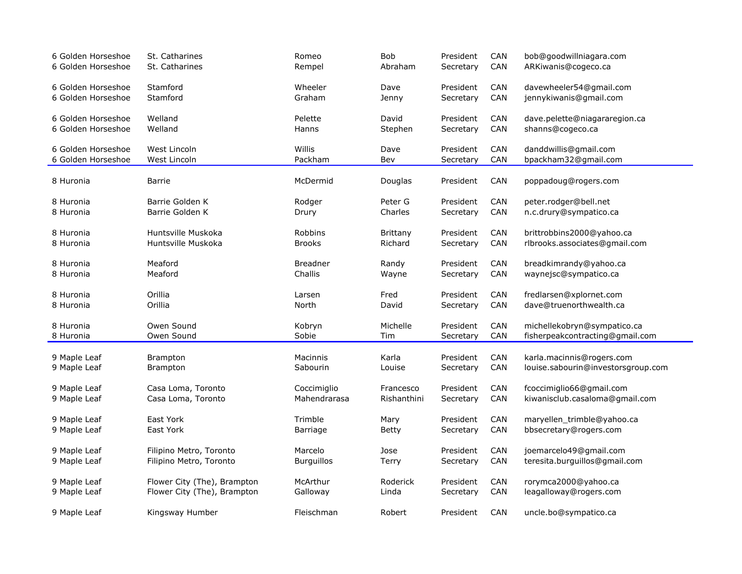| 6 Golden Horseshoe | St. Catharines              | Romeo             | Bob         | President | CAN        | bob@goodwillniagara.com            |
|--------------------|-----------------------------|-------------------|-------------|-----------|------------|------------------------------------|
| 6 Golden Horseshoe | St. Catharines              | Rempel            | Abraham     | Secretary | <b>CAN</b> | ARKiwanis@cogeco.ca                |
| 6 Golden Horseshoe | Stamford                    | Wheeler           | Dave        | President | <b>CAN</b> | davewheeler54@gmail.com            |
| 6 Golden Horseshoe | Stamford                    | Graham            | Jenny       | Secretary | CAN        | jennykiwanis@gmail.com             |
| 6 Golden Horseshoe | Welland                     | Pelette           | David       | President | <b>CAN</b> | dave.pelette@niagararegion.ca      |
| 6 Golden Horseshoe | Welland                     | Hanns             | Stephen     | Secretary | <b>CAN</b> | shanns@cogeco.ca                   |
| 6 Golden Horseshoe | West Lincoln                | Willis            | Dave        | President | <b>CAN</b> | danddwillis@gmail.com              |
| 6 Golden Horseshoe | West Lincoln                | Packham           | Bev         | Secretary | <b>CAN</b> | bpackham32@gmail.com               |
| 8 Huronia          | Barrie                      | McDermid          | Douglas     | President | <b>CAN</b> | poppadoug@rogers.com               |
| 8 Huronia          | Barrie Golden K             | Rodger            | Peter G     | President | <b>CAN</b> | peter.rodger@bell.net              |
| 8 Huronia          | Barrie Golden K             | Drury             | Charles     | Secretary | CAN        | n.c.drury@sympatico.ca             |
| 8 Huronia          | Huntsville Muskoka          | <b>Robbins</b>    | Brittany    | President | <b>CAN</b> | brittrobbins2000@yahoo.ca          |
| 8 Huronia          | Huntsville Muskoka          | <b>Brooks</b>     | Richard     | Secretary | CAN        | rlbrooks.associates@gmail.com      |
| 8 Huronia          | Meaford                     | <b>Breadner</b>   | Randy       | President | <b>CAN</b> | breadkimrandy@yahoo.ca             |
| 8 Huronia          | Meaford                     | Challis           | Wayne       | Secretary | <b>CAN</b> | waynejsc@sympatico.ca              |
| 8 Huronia          | Orillia                     | Larsen            | Fred        | President | <b>CAN</b> | fredlarsen@xplornet.com            |
| 8 Huronia          | Orillia                     | North             | David       | Secretary | <b>CAN</b> | dave@truenorthwealth.ca            |
| 8 Huronia          | Owen Sound                  | Kobryn            | Michelle    | President | <b>CAN</b> | michellekobryn@sympatico.ca        |
| 8 Huronia          | Owen Sound                  | Sobie             | Tim         | Secretary | CAN        | fisherpeakcontracting@gmail.com    |
| 9 Maple Leaf       | <b>Brampton</b>             | Macinnis          | Karla       | President | <b>CAN</b> | karla.macinnis@rogers.com          |
| 9 Maple Leaf       | <b>Brampton</b>             | Sabourin          | Louise      | Secretary | <b>CAN</b> | louise.sabourin@investorsgroup.com |
| 9 Maple Leaf       | Casa Loma, Toronto          | Coccimiglio       | Francesco   | President | <b>CAN</b> | fcoccimiglio66@gmail.com           |
| 9 Maple Leaf       | Casa Loma, Toronto          | Mahendrarasa      | Rishanthini | Secretary | <b>CAN</b> | kiwanisclub.casaloma@gmail.com     |
| 9 Maple Leaf       | East York                   | Trimble           | Mary        | President | <b>CAN</b> | maryellen_trimble@yahoo.ca         |
| 9 Maple Leaf       | East York                   | Barriage          | Betty       | Secretary | <b>CAN</b> | bbsecretary@rogers.com             |
| 9 Maple Leaf       | Filipino Metro, Toronto     | Marcelo           | Jose        | President | <b>CAN</b> | joemarcelo49@gmail.com             |
| 9 Maple Leaf       | Filipino Metro, Toronto     | <b>Burguillos</b> | Terry       | Secretary | CAN        | teresita.burguillos@gmail.com      |
| 9 Maple Leaf       | Flower City (The), Brampton | McArthur          | Roderick    | President | <b>CAN</b> | rorymca2000@yahoo.ca               |
| 9 Maple Leaf       | Flower City (The), Brampton | Galloway          | Linda       | Secretary | <b>CAN</b> | leagalloway@rogers.com             |
| 9 Maple Leaf       | Kingsway Humber             | Fleischman        | Robert      | President | <b>CAN</b> | uncle.bo@sympatico.ca              |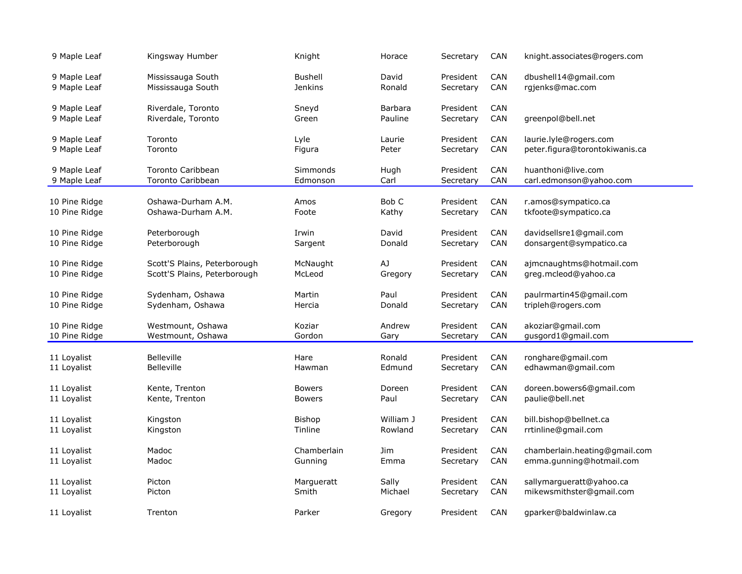| 9 Maple Leaf  | Kingsway Humber              | Knight         | Horace    | Secretary | <b>CAN</b> | knight.associates@rogers.com   |
|---------------|------------------------------|----------------|-----------|-----------|------------|--------------------------------|
| 9 Maple Leaf  | Mississauga South            | <b>Bushell</b> | David     | President | <b>CAN</b> | dbushell14@gmail.com           |
| 9 Maple Leaf  | Mississauga South            | <b>Jenkins</b> | Ronald    | Secretary | CAN        | rgjenks@mac.com                |
| 9 Maple Leaf  | Riverdale, Toronto           | Sneyd          | Barbara   | President | CAN        | greenpol@bell.net              |
| 9 Maple Leaf  | Riverdale, Toronto           | Green          | Pauline   | Secretary | CAN        |                                |
| 9 Maple Leaf  | Toronto                      | Lyle           | Laurie    | President | CAN        | laurie.lyle@rogers.com         |
| 9 Maple Leaf  | Toronto                      | Figura         | Peter     | Secretary | CAN        | peter.figura@torontokiwanis.ca |
| 9 Maple Leaf  | <b>Toronto Caribbean</b>     | Simmonds       | Hugh      | President | CAN        | huanthoni@live.com             |
| 9 Maple Leaf  | <b>Toronto Caribbean</b>     | Edmonson       | Carl      | Secretary | <b>CAN</b> | carl.edmonson@yahoo.com        |
| 10 Pine Ridge | Oshawa-Durham A.M.           | Amos           | Bob C     | President | CAN        | r.amos@sympatico.ca            |
| 10 Pine Ridge | Oshawa-Durham A.M.           | Foote          | Kathy     | Secretary | CAN        | tkfoote@sympatico.ca           |
| 10 Pine Ridge | Peterborough                 | Irwin          | David     | President | CAN        | davidsellsre1@gmail.com        |
| 10 Pine Ridge | Peterborough                 | Sargent        | Donald    | Secretary | CAN        | donsargent@sympatico.ca        |
| 10 Pine Ridge | Scott'S Plains, Peterborough | McNaught       | AJ        | President | <b>CAN</b> | ajmcnaughtms@hotmail.com       |
| 10 Pine Ridge | Scott'S Plains, Peterborough | McLeod         | Gregory   | Secretary | CAN        | greg.mcleod@yahoo.ca           |
| 10 Pine Ridge | Sydenham, Oshawa             | Martin         | Paul      | President | <b>CAN</b> | paulrmartin45@gmail.com        |
| 10 Pine Ridge | Sydenham, Oshawa             | Hercia         | Donald    | Secretary | CAN        | tripleh@rogers.com             |
| 10 Pine Ridge | Westmount, Oshawa            | Koziar         | Andrew    | President | <b>CAN</b> | akoziar@gmail.com              |
| 10 Pine Ridge | Westmount, Oshawa            | Gordon         | Gary      | Secretary | CAN        | gusgord1@gmail.com             |
| 11 Loyalist   | <b>Belleville</b>            | Hare           | Ronald    | President | <b>CAN</b> | ronghare@gmail.com             |
| 11 Loyalist   | <b>Belleville</b>            | Hawman         | Edmund    | Secretary | <b>CAN</b> | edhawman@gmail.com             |
| 11 Loyalist   | Kente, Trenton               | <b>Bowers</b>  | Doreen    | President | CAN        | doreen.bowers6@gmail.com       |
| 11 Loyalist   | Kente, Trenton               | <b>Bowers</b>  | Paul      | Secretary | CAN        | paulie@bell.net                |
| 11 Loyalist   | Kingston                     | <b>Bishop</b>  | William J | President | <b>CAN</b> | bill.bishop@bellnet.ca         |
| 11 Loyalist   | Kingston                     | Tinline        | Rowland   | Secretary | CAN        | rrtinline@gmail.com            |
| 11 Loyalist   | Madoc                        | Chamberlain    | Jim       | President | CAN        | chamberlain.heating@gmail.com  |
| 11 Loyalist   | Madoc                        | Gunning        | Emma      | Secretary | CAN        | emma.gunning@hotmail.com       |
| 11 Loyalist   | Picton                       | Margueratt     | Sally     | President | CAN        | sallymargueratt@yahoo.ca       |
| 11 Loyalist   | Picton                       | Smith          | Michael   | Secretary | <b>CAN</b> | mikewsmithster@gmail.com       |
| 11 Loyalist   | Trenton                      | Parker         | Gregory   | President | CAN        | gparker@baldwinlaw.ca          |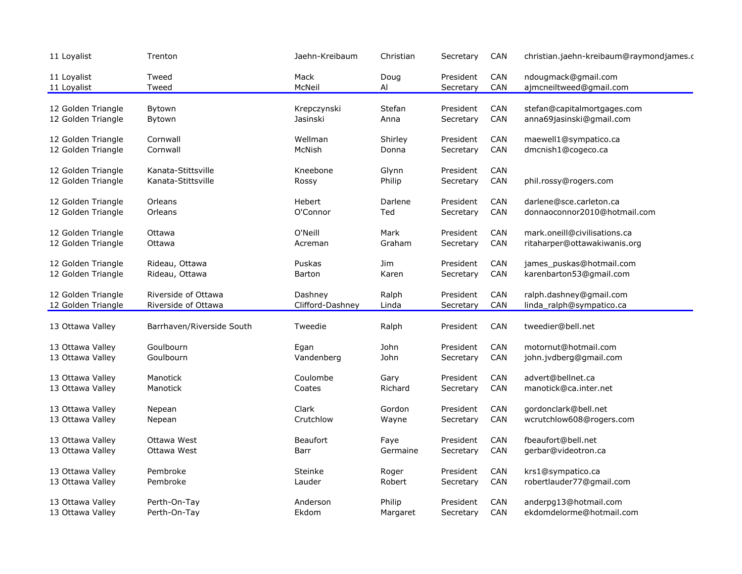| 11 Loyalist                | Trenton                   | Jaehn-Kreibaum   | Christian  | Secretary              | <b>CAN</b> | christian.jaehn-kreibaum@raymondjames.c        |
|----------------------------|---------------------------|------------------|------------|------------------------|------------|------------------------------------------------|
| 11 Loyalist<br>11 Loyalist | Tweed<br>Tweed            | Mack<br>McNeil   | Doug<br>Al | President<br>Secretary | CAN<br>CAN | ndougmack@gmail.com<br>ajmcneiltweed@gmail.com |
| 12 Golden Triangle         | Bytown                    | Krepczynski      | Stefan     | President              | CAN        | stefan@capitalmortgages.com                    |
| 12 Golden Triangle         | Bytown                    | Jasinski         | Anna       | Secretary              | CAN        | anna69jasinski@gmail.com                       |
| 12 Golden Triangle         | Cornwall                  | Wellman          | Shirley    | President              | CAN        | maewell1@sympatico.ca                          |
| 12 Golden Triangle         | Cornwall                  | McNish           | Donna      | Secretary              | CAN        | dmcnish1@cogeco.ca                             |
| 12 Golden Triangle         | Kanata-Stittsville        | Kneebone         | Glynn      | President              | <b>CAN</b> |                                                |
| 12 Golden Triangle         | Kanata-Stittsville        | Rossy            | Philip     | Secretary              | CAN        | phil.rossy@rogers.com                          |
| 12 Golden Triangle         | Orleans                   | Hebert           | Darlene    | President              | <b>CAN</b> | darlene@sce.carleton.ca                        |
| 12 Golden Triangle         | Orleans                   | O'Connor         | Ted        | Secretary              | CAN        | donnaoconnor2010@hotmail.com                   |
| 12 Golden Triangle         | Ottawa                    | O'Neill          | Mark       | President              | <b>CAN</b> | mark.oneill@civilisations.ca                   |
| 12 Golden Triangle         | Ottawa                    | Acreman          | Graham     | Secretary              | CAN        | ritaharper@ottawakiwanis.org                   |
| 12 Golden Triangle         | Rideau, Ottawa            | Puskas           | Jim        | President              | <b>CAN</b> | james_puskas@hotmail.com                       |
| 12 Golden Triangle         | Rideau, Ottawa            | <b>Barton</b>    | Karen      | Secretary              | CAN        | karenbarton53@gmail.com                        |
| 12 Golden Triangle         | Riverside of Ottawa       | Dashney          | Ralph      | President              | CAN        | ralph.dashney@gmail.com                        |
| 12 Golden Triangle         | Riverside of Ottawa       | Clifford-Dashney | Linda      | Secretary              | CAN        | linda_ralph@sympatico.ca                       |
| 13 Ottawa Valley           | Barrhaven/Riverside South | Tweedie          | Ralph      | President              | CAN        | tweedier@bell.net                              |
| 13 Ottawa Valley           | Goulbourn                 | Egan             | John       | President              | CAN        | motornut@hotmail.com                           |
| 13 Ottawa Valley           | Goulbourn                 | Vandenberg       | John       | Secretary              | CAN        | john.jvdberg@gmail.com                         |
| 13 Ottawa Valley           | Manotick                  | Coulombe         | Gary       | President              | CAN        | advert@bellnet.ca                              |
| 13 Ottawa Valley           | Manotick                  | Coates           | Richard    | Secretary              | CAN        | manotick@ca.inter.net                          |
| 13 Ottawa Valley           | Nepean                    | Clark            | Gordon     | President              | <b>CAN</b> | gordonclark@bell.net                           |
| 13 Ottawa Valley           | Nepean                    | Crutchlow        | Wayne      | Secretary              | CAN        | wcrutchlow608@rogers.com                       |
| 13 Ottawa Valley           | Ottawa West               | <b>Beaufort</b>  | Faye       | President              | <b>CAN</b> | fbeaufort@bell.net                             |
| 13 Ottawa Valley           | Ottawa West               | Barr             | Germaine   | Secretary              | CAN        | gerbar@videotron.ca                            |
| 13 Ottawa Valley           | Pembroke                  | Steinke          | Roger      | President              | <b>CAN</b> | krs1@sympatico.ca                              |
| 13 Ottawa Valley           | Pembroke                  | Lauder           | Robert     | Secretary              | CAN        | robertlauder77@gmail.com                       |
| 13 Ottawa Valley           | Perth-On-Tay              | Anderson         | Philip     | President              | <b>CAN</b> | anderpg13@hotmail.com                          |
| 13 Ottawa Valley           | Perth-On-Tay              | Ekdom            | Margaret   | Secretary              | CAN        | ekdomdelorme@hotmail.com                       |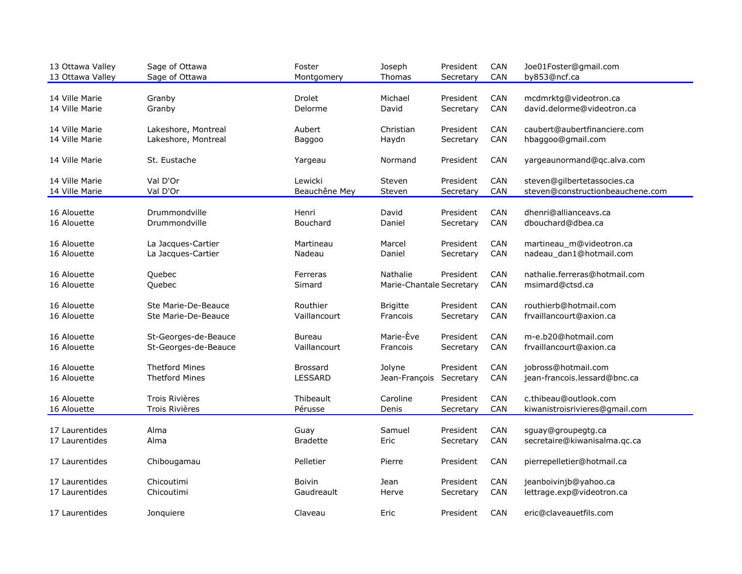| 13 Ottawa Valley<br>13 Ottawa Valley | Sage of Ottawa<br>Sage of Ottawa | Foster<br>Montgomery | Joseph<br>Thomas         | President<br>Secretary | CAN<br>CAN | Joe01Foster@gmail.com<br>by853@ncf.ca |
|--------------------------------------|----------------------------------|----------------------|--------------------------|------------------------|------------|---------------------------------------|
| 14 Ville Marie                       | Granby                           | <b>Drolet</b>        | Michael                  | President              | CAN        | mcdmrktg@videotron.ca                 |
| 14 Ville Marie                       | Granby                           | Delorme              | David                    | Secretary              | CAN        | david.delorme@videotron.ca            |
| 14 Ville Marie                       | Lakeshore, Montreal              | Aubert               | Christian                | President              | CAN        | caubert@aubertfinanciere.com          |
| 14 Ville Marie                       | Lakeshore, Montreal              | Baggoo               | Haydn                    | Secretary              | CAN        | hbaggoo@gmail.com                     |
| 14 Ville Marie                       | St. Eustache                     | Yargeau              | Normand                  | President              | <b>CAN</b> | yargeaunormand@qc.alva.com            |
| 14 Ville Marie                       | Val D'Or                         | Lewicki              | Steven                   | President              | <b>CAN</b> | steven@gilbertetassocies.ca           |
| 14 Ville Marie                       | Val D'Or                         | Beauchêne Mey        | Steven                   | Secretary              | CAN        | steven@constructionbeauchene.com      |
| 16 Alouette                          | Drummondville                    | Henri                | David                    | President              | <b>CAN</b> | dhenri@allianceavs.ca                 |
| 16 Alouette                          | Drummondville                    | <b>Bouchard</b>      | Daniel                   | Secretary              | CAN        | dbouchard@dbea.ca                     |
| 16 Alouette                          | La Jacques-Cartier               | Martineau            | Marcel                   | President              | <b>CAN</b> | martineau_m@videotron.ca              |
| 16 Alouette                          | La Jacques-Cartier               | Nadeau               | Daniel                   | Secretary              | CAN        | nadeau_dan1@hotmail.com               |
| 16 Alouette                          | Quebec                           | Ferreras             | Nathalie                 | President              | <b>CAN</b> | nathalie.ferreras@hotmail.com         |
| 16 Alouette                          | Quebec                           | Simard               | Marie-Chantale Secretary |                        | CAN        | msimard@ctsd.ca                       |
| 16 Alouette                          | Ste Marie-De-Beauce              | Routhier             | <b>Brigitte</b>          | President              | CAN        | routhierb@hotmail.com                 |
| 16 Alouette                          | Ste Marie-De-Beauce              | Vaillancourt         | Francois                 | Secretary              | CAN        | frvaillancourt@axion.ca               |
| 16 Alouette                          | St-Georges-de-Beauce             | Bureau               | Marie-Ève                | President              | <b>CAN</b> | m-e.b20@hotmail.com                   |
| 16 Alouette                          | St-Georges-de-Beauce             | Vaillancourt         | Francois                 | Secretary              | CAN        | frvaillancourt@axion.ca               |
| 16 Alouette                          | <b>Thetford Mines</b>            | <b>Brossard</b>      | Jolyne                   | President              | <b>CAN</b> | jobross@hotmail.com                   |
| 16 Alouette                          | <b>Thetford Mines</b>            | LESSARD              | Jean-François            | Secretary              | CAN        | jean-francois.lessard@bnc.ca          |
| 16 Alouette                          | <b>Trois Rivières</b>            | Thibeault            | Caroline                 | President              | CAN        | c.thibeau@outlook.com                 |
| 16 Alouette                          | Trois Rivières                   | Pérusse              | Denis                    | Secretary              | CAN        | kiwanistroisrivieres@gmail.com        |
| 17 Laurentides                       | Alma                             | Guay                 | Samuel                   | President              | CAN        | sguay@groupegtg.ca                    |
| 17 Laurentides                       | Alma                             | <b>Bradette</b>      | Eric                     | Secretary              | CAN        | secretaire@kiwanisalma.qc.ca          |
| 17 Laurentides                       | Chibougamau                      | Pelletier            | Pierre                   | President              | CAN        | pierrepelletier@hotmail.ca            |
| 17 Laurentides                       | Chicoutimi                       | <b>Boivin</b>        | Jean                     | President              | <b>CAN</b> | jeanboivinjb@yahoo.ca                 |
| 17 Laurentides                       | Chicoutimi                       | Gaudreault           | Herve                    | Secretary              | <b>CAN</b> | lettrage.exp@videotron.ca             |
| 17 Laurentides                       | Jonquiere                        | Claveau              | Eric                     | President              | CAN        | eric@claveauetfils.com                |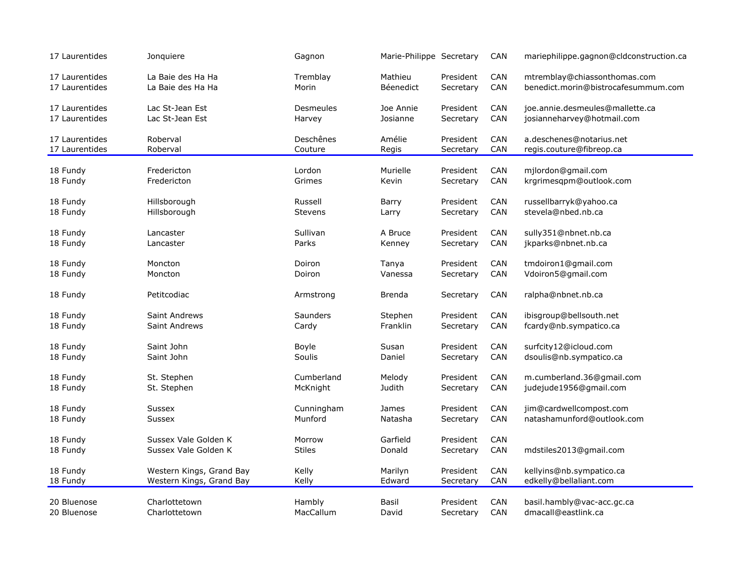| 17 Laurentides | Jonquiere                | Gagnon         | Marie-Philippe Secretary |           | CAN        | mariephilippe.gagnon@cldconstruction.ca          |
|----------------|--------------------------|----------------|--------------------------|-----------|------------|--------------------------------------------------|
| 17 Laurentides | La Baie des Ha Ha        | Tremblay       | Mathieu                  | President | CAN        | mtremblay@chiassonthomas.com                     |
| 17 Laurentides | La Baie des Ha Ha        | Morin          | Béenedict                | Secretary | CAN        | benedict.morin@bistrocafesummum.com              |
| 17 Laurentides | Lac St-Jean Est          | Desmeules      | Joe Annie                | President | CAN        | joe.annie.desmeules@mallette.ca                  |
| 17 Laurentides | Lac St-Jean Est          | Harvey         | Josianne                 | Secretary | CAN        | josianneharvey@hotmail.com                       |
| 17 Laurentides | Roberval                 | Deschênes      | Amélie                   | President | CAN        | a.deschenes@notarius.net                         |
| 17 Laurentides | Roberval                 | Couture        | Regis                    | Secretary | CAN        | regis.couture@fibreop.ca                         |
|                |                          |                |                          |           |            |                                                  |
| 18 Fundy       | Fredericton              | Lordon         | Murielle                 | President | CAN<br>CAN | mjlordon@gmail.com<br>krgrimesqpm@outlook.com    |
| 18 Fundy       | Fredericton              | Grimes         | Kevin                    | Secretary |            |                                                  |
| 18 Fundy       | Hillsborough             | Russell        | Barry                    | President | CAN        | russellbarryk@yahoo.ca                           |
| 18 Fundy       | Hillsborough             | <b>Stevens</b> | Larry                    | Secretary | CAN        | stevela@nbed.nb.ca                               |
| 18 Fundy       | Lancaster                | Sullivan       | A Bruce                  | President | CAN        | sully351@nbnet.nb.ca                             |
| 18 Fundy       | Lancaster                | Parks          | Kenney                   | Secretary | CAN        | jkparks@nbnet.nb.ca                              |
|                |                          |                |                          |           |            |                                                  |
| 18 Fundy       | Moncton                  | Doiron         | Tanya                    | President | CAN        | tmdoiron1@gmail.com                              |
| 18 Fundy       | Moncton                  | Doiron         | Vanessa                  | Secretary | <b>CAN</b> | Vdoiron5@gmail.com                               |
| 18 Fundy       | Petitcodiac              | Armstrong      | <b>Brenda</b>            | Secretary | CAN        | ralpha@nbnet.nb.ca                               |
| 18 Fundy       | <b>Saint Andrews</b>     | Saunders       | Stephen                  | President | CAN        | ibisgroup@bellsouth.net                          |
| 18 Fundy       | <b>Saint Andrews</b>     | Cardy          | Franklin                 | Secretary | CAN        | fcardy@nb.sympatico.ca                           |
|                | Saint John               | Boyle          | Susan                    | President | CAN        |                                                  |
| 18 Fundy       | Saint John               | Soulis         | Daniel                   | Secretary | CAN        | surfcity12@icloud.com<br>dsoulis@nb.sympatico.ca |
| 18 Fundy       |                          |                |                          |           |            |                                                  |
| 18 Fundy       | St. Stephen              | Cumberland     | Melody                   | President | CAN        | m.cumberland.36@gmail.com                        |
| 18 Fundy       | St. Stephen              | McKnight       | Judith                   | Secretary | CAN        | judejude1956@gmail.com                           |
| 18 Fundy       | Sussex                   | Cunningham     | <b>James</b>             | President | CAN        | jim@cardwellcompost.com                          |
| 18 Fundy       | Sussex                   | Munford        | Natasha                  | Secretary | CAN        | natashamunford@outlook.com                       |
|                |                          |                |                          |           |            |                                                  |
| 18 Fundy       | Sussex Vale Golden K     | Morrow         | Garfield                 | President | CAN        |                                                  |
| 18 Fundy       | Sussex Vale Golden K     | <b>Stiles</b>  | Donald                   | Secretary | CAN        | mdstiles2013@gmail.com                           |
| 18 Fundy       | Western Kings, Grand Bay | Kelly          | Marilyn                  | President | CAN        | kellyins@nb.sympatico.ca                         |
| 18 Fundy       | Western Kings, Grand Bay | Kelly          | Edward                   | Secretary | <b>CAN</b> | edkelly@bellaliant.com                           |
|                |                          |                |                          |           |            |                                                  |
| 20 Bluenose    | Charlottetown            | Hambly         | Basil                    | President | CAN        | basil.hambly@vac-acc.gc.ca                       |
| 20 Bluenose    | Charlottetown            | MacCallum      | David                    | Secretary | CAN        | dmacall@eastlink.ca                              |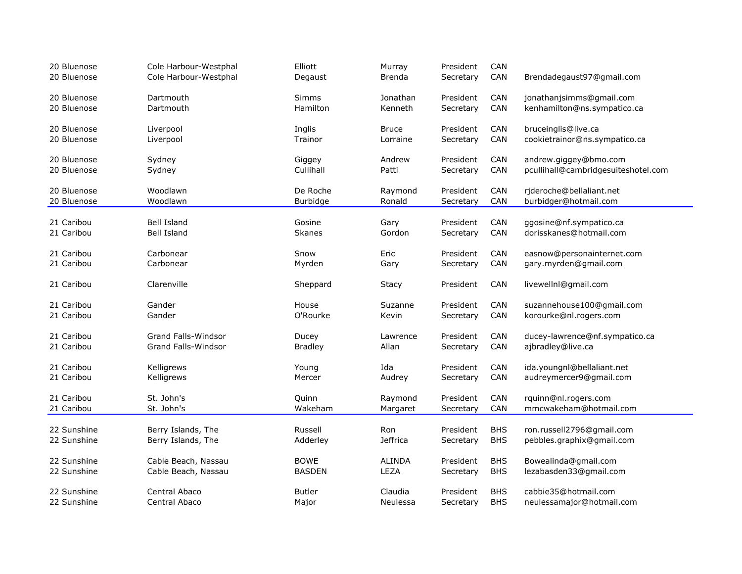| 20 Bluenose<br>20 Bluenose | Cole Harbour-Westphal<br>Cole Harbour-Westphal | Elliott<br>Degaust | Murray<br>Brenda | President<br>Secretary | CAN<br>CAN | Brendadegaust97@gmail.com           |
|----------------------------|------------------------------------------------|--------------------|------------------|------------------------|------------|-------------------------------------|
|                            |                                                |                    |                  |                        |            |                                     |
| 20 Bluenose                | Dartmouth                                      | <b>Simms</b>       | Jonathan         | President              | CAN        | jonathanjsimms@gmail.com            |
| 20 Bluenose                | Dartmouth                                      | Hamilton           | Kenneth          | Secretary              | CAN        | kenhamilton@ns.sympatico.ca         |
| 20 Bluenose                | Liverpool                                      | Inglis             | <b>Bruce</b>     | President              | CAN        | bruceinglis@live.ca                 |
| 20 Bluenose                | Liverpool                                      | Trainor            | Lorraine         | Secretary              | CAN        | cookietrainor@ns.sympatico.ca       |
| 20 Bluenose                | Sydney                                         | Giggey             | Andrew           | President              | CAN        | andrew.giggey@bmo.com               |
| 20 Bluenose                | Sydney                                         | Cullihall          | Patti            | Secretary              | CAN        | pcullihall@cambridgesuiteshotel.com |
| 20 Bluenose                | Woodlawn                                       | De Roche           | Raymond          | President              | CAN        | rjderoche@bellaliant.net            |
| 20 Bluenose                | Woodlawn                                       | Burbidge           | Ronald           | Secretary              | CAN        | burbidger@hotmail.com               |
|                            |                                                |                    |                  |                        |            |                                     |
| 21 Caribou                 | <b>Bell Island</b>                             | Gosine             | Gary             | President              | CAN        | ggosine@nf.sympatico.ca             |
| 21 Caribou                 | Bell Island                                    | <b>Skanes</b>      | Gordon           | Secretary              | CAN        | dorisskanes@hotmail.com             |
| 21 Caribou                 | Carbonear                                      | Snow               | Eric             | President              | CAN        | easnow@personainternet.com          |
| 21 Caribou                 | Carbonear                                      | Myrden             | Gary             | Secretary              | CAN        | gary.myrden@gmail.com               |
| 21 Caribou                 | Clarenville                                    | Sheppard           | Stacy            | President              | <b>CAN</b> | livewellnl@gmail.com                |
| 21 Caribou                 | Gander                                         | House              | Suzanne          | President              | <b>CAN</b> | suzannehouse100@gmail.com           |
| 21 Caribou                 | Gander                                         | O'Rourke           | Kevin            | Secretary              | CAN        | korourke@nl.rogers.com              |
| 21 Caribou                 | <b>Grand Falls-Windsor</b>                     | Ducey              | Lawrence         | President              | CAN        | ducey-lawrence@nf.sympatico.ca      |
| 21 Caribou                 | <b>Grand Falls-Windsor</b>                     | <b>Bradley</b>     | Allan            | Secretary              | CAN        | ajbradley@live.ca                   |
| 21 Caribou                 | Kelligrews                                     | Young              | Ida              | President              | CAN        | ida.youngnl@bellaliant.net          |
| 21 Caribou                 | Kelligrews                                     | Mercer             | Audrey           | Secretary              | CAN        | audreymercer9@gmail.com             |
| 21 Caribou                 | St. John's                                     | Quinn              | Raymond          | President              | CAN        | rquinn@nl.rogers.com                |
| 21 Caribou                 | St. John's                                     | Wakeham            | Margaret         | Secretary              | CAN        | mmcwakeham@hotmail.com              |
| 22 Sunshine                | Berry Islands, The                             | Russell            | Ron              | President              | <b>BHS</b> | ron.russell2796@gmail.com           |
| 22 Sunshine                | Berry Islands, The                             | Adderley           | <b>Jeffrica</b>  | Secretary              | <b>BHS</b> | pebbles.graphix@gmail.com           |
|                            |                                                |                    |                  |                        |            |                                     |
| 22 Sunshine                | Cable Beach, Nassau                            | <b>BOWE</b>        | <b>ALINDA</b>    | President              | <b>BHS</b> | Bowealinda@gmail.com                |
| 22 Sunshine                | Cable Beach, Nassau                            | <b>BASDEN</b>      | LEZA             | Secretary              | <b>BHS</b> | lezabasden33@gmail.com              |
| 22 Sunshine                | Central Abaco                                  | <b>Butler</b>      | Claudia          | President              | <b>BHS</b> | cabbie35@hotmail.com                |
| 22 Sunshine                | Central Abaco                                  | Major              | Neulessa         | Secretary              | <b>BHS</b> | neulessamajor@hotmail.com           |
|                            |                                                |                    |                  |                        |            |                                     |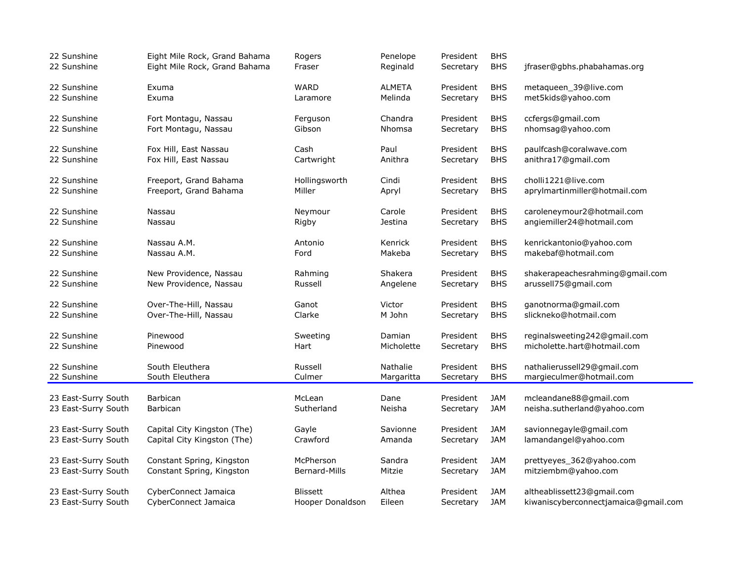| 22 Sunshine         | Eight Mile Rock, Grand Bahama | Rogers           | Penelope      | President | <b>BHS</b> | jfraser@gbhs.phabahamas.org          |
|---------------------|-------------------------------|------------------|---------------|-----------|------------|--------------------------------------|
| 22 Sunshine         | Eight Mile Rock, Grand Bahama | Fraser           | Reginald      | Secretary | <b>BHS</b> |                                      |
| 22 Sunshine         | Exuma                         | <b>WARD</b>      | <b>ALMETA</b> | President | <b>BHS</b> | metaqueen_39@live.com                |
| 22 Sunshine         | Exuma                         | Laramore         | Melinda       | Secretary | <b>BHS</b> | met5kids@yahoo.com                   |
| 22 Sunshine         | Fort Montagu, Nassau          | Ferguson         | Chandra       | President | <b>BHS</b> | ccfergs@gmail.com                    |
| 22 Sunshine         | Fort Montagu, Nassau          | Gibson           | Nhomsa        | Secretary | <b>BHS</b> | nhomsag@yahoo.com                    |
| 22 Sunshine         | Fox Hill, East Nassau         | Cash             | Paul          | President | <b>BHS</b> | paulfcash@coralwave.com              |
| 22 Sunshine         | Fox Hill, East Nassau         | Cartwright       | Anithra       | Secretary | <b>BHS</b> | anithra17@gmail.com                  |
| 22 Sunshine         | Freeport, Grand Bahama        | Hollingsworth    | Cindi         | President | <b>BHS</b> | cholli1221@live.com                  |
| 22 Sunshine         | Freeport, Grand Bahama        | Miller           | Apryl         | Secretary | <b>BHS</b> | aprylmartinmiller@hotmail.com        |
| 22 Sunshine         | Nassau                        | Neymour          | Carole        | President | <b>BHS</b> | caroleneymour2@hotmail.com           |
| 22 Sunshine         | Nassau                        | Rigby            | Jestina       | Secretary | <b>BHS</b> | angiemiller24@hotmail.com            |
| 22 Sunshine         | Nassau A.M.                   | Antonio          | Kenrick       | President | <b>BHS</b> | kenrickantonio@yahoo.com             |
| 22 Sunshine         | Nassau A.M.                   | Ford             | Makeba        | Secretary | <b>BHS</b> | makebaf@hotmail.com                  |
| 22 Sunshine         | New Providence, Nassau        | Rahming          | Shakera       | President | <b>BHS</b> | shakerapeachesrahming@gmail.com      |
| 22 Sunshine         | New Providence, Nassau        | Russell          | Angelene      | Secretary | <b>BHS</b> | arussell75@gmail.com                 |
| 22 Sunshine         | Over-The-Hill, Nassau         | Ganot            | Victor        | President | <b>BHS</b> | ganotnorma@gmail.com                 |
| 22 Sunshine         | Over-The-Hill, Nassau         | Clarke           | M John        | Secretary | <b>BHS</b> | slickneko@hotmail.com                |
| 22 Sunshine         | Pinewood                      | Sweeting         | Damian        | President | <b>BHS</b> | reginalsweeting242@gmail.com         |
| 22 Sunshine         | Pinewood                      | Hart             | Micholette    | Secretary | <b>BHS</b> | micholette.hart@hotmail.com          |
| 22 Sunshine         | South Eleuthera               | Russell          | Nathalie      | President | <b>BHS</b> | nathalierussell29@gmail.com          |
| 22 Sunshine         | South Eleuthera               | Culmer           | Margaritta    | Secretary | <b>BHS</b> | margieculmer@hotmail.com             |
| 23 East-Surry South | <b>Barbican</b>               | McLean           | Dane          | President | <b>JAM</b> | mcleandane88@gmail.com               |
| 23 East-Surry South | Barbican                      | Sutherland       | Neisha        | Secretary | <b>JAM</b> | neisha.sutherland@yahoo.com          |
| 23 East-Surry South | Capital City Kingston (The)   | Gayle            | Savionne      | President | <b>JAM</b> | savionnegayle@gmail.com              |
| 23 East-Surry South | Capital City Kingston (The)   | Crawford         | Amanda        | Secretary | <b>JAM</b> | lamandangel@yahoo.com                |
| 23 East-Surry South | Constant Spring, Kingston     | McPherson        | Sandra        | President | JAM        | prettyeyes_362@yahoo.com             |
| 23 East-Surry South | Constant Spring, Kingston     | Bernard-Mills    | Mitzie        | Secretary | <b>JAM</b> | mitziembm@yahoo.com                  |
| 23 East-Surry South | CyberConnect Jamaica          | <b>Blissett</b>  | Althea        | President | <b>JAM</b> | altheablissett23@gmail.com           |
| 23 East-Surry South | CyberConnect Jamaica          | Hooper Donaldson | Eileen        | Secretary | JAM        | kiwaniscyberconnectjamaica@gmail.com |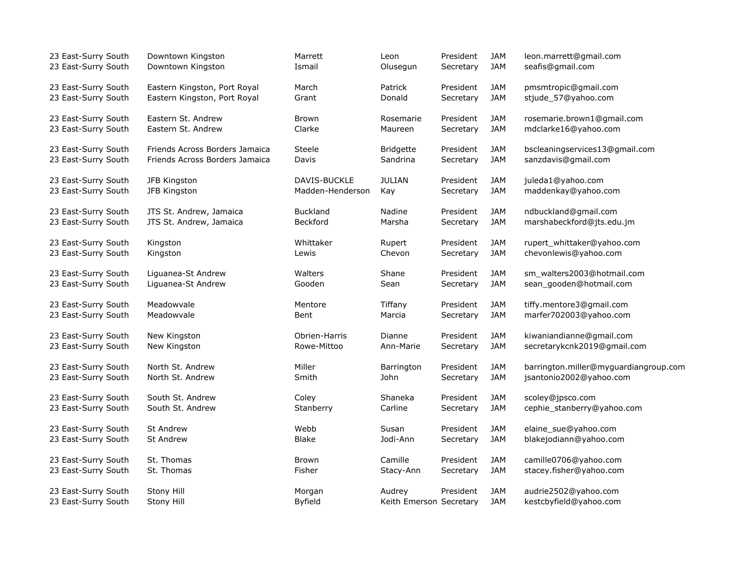| 23 East-Surry South | Downtown Kingston              | Marrett          | Leon                    | President | JAM        | leon.marrett@gmail.com                |
|---------------------|--------------------------------|------------------|-------------------------|-----------|------------|---------------------------------------|
| 23 East-Surry South | Downtown Kingston              | Ismail           | Olusegun                | Secretary | <b>JAM</b> | seafis@gmail.com                      |
| 23 East-Surry South | Eastern Kingston, Port Royal   | March            | <b>Patrick</b>          | President | <b>JAM</b> | pmsmtropic@gmail.com                  |
| 23 East-Surry South | Eastern Kingston, Port Royal   | Grant            | Donald                  | Secretary | <b>JAM</b> | stjude_57@yahoo.com                   |
|                     |                                | <b>Brown</b>     |                         |           | <b>JAM</b> |                                       |
| 23 East-Surry South | Eastern St. Andrew             |                  | Rosemarie               | President |            | rosemarie.brown1@gmail.com            |
| 23 East-Surry South | Eastern St. Andrew             | Clarke           | Maureen                 | Secretary | <b>JAM</b> | mdclarke16@yahoo.com                  |
| 23 East-Surry South | Friends Across Borders Jamaica | Steele           | <b>Bridgette</b>        | President | <b>JAM</b> | bscleaningservices13@gmail.com        |
| 23 East-Surry South | Friends Across Borders Jamaica | Davis            | Sandrina                | Secretary | <b>JAM</b> | sanzdavis@gmail.com                   |
|                     |                                |                  |                         |           |            |                                       |
| 23 East-Surry South | JFB Kingston                   | DAVIS-BUCKLE     | <b>JULIAN</b>           | President | <b>JAM</b> | juleda1@yahoo.com                     |
| 23 East-Surry South | JFB Kingston                   | Madden-Henderson | Kay                     | Secretary | <b>JAM</b> | maddenkay@yahoo.com                   |
| 23 East-Surry South | JTS St. Andrew, Jamaica        | <b>Buckland</b>  | Nadine                  | President | <b>JAM</b> | ndbuckland@gmail.com                  |
| 23 East-Surry South | JTS St. Andrew, Jamaica        | <b>Beckford</b>  | Marsha                  | Secretary | <b>JAM</b> | marshabeckford@jts.edu.jm             |
|                     |                                |                  |                         |           |            |                                       |
| 23 East-Surry South | Kingston                       | Whittaker        | Rupert                  | President | <b>JAM</b> | rupert_whittaker@yahoo.com            |
| 23 East-Surry South | Kingston                       | Lewis            | Chevon                  | Secretary | <b>JAM</b> | chevonlewis@yahoo.com                 |
| 23 East-Surry South | Liguanea-St Andrew             | Walters          | Shane                   | President | <b>JAM</b> | sm_walters2003@hotmail.com            |
|                     |                                |                  |                         |           |            |                                       |
| 23 East-Surry South | Liguanea-St Andrew             | Gooden           | Sean                    | Secretary | JAM        | sean_gooden@hotmail.com               |
| 23 East-Surry South | Meadowvale                     | Mentore          | Tiffany                 | President | JAM        | tiffy.mentore3@gmail.com              |
| 23 East-Surry South | Meadowvale                     | Bent             | Marcia                  | Secretary | <b>JAM</b> | marfer702003@yahoo.com                |
|                     |                                |                  |                         |           |            |                                       |
| 23 East-Surry South | New Kingston                   | Obrien-Harris    | Dianne                  | President | <b>JAM</b> | kiwaniandianne@gmail.com              |
| 23 East-Surry South | New Kingston                   | Rowe-Mittoo      | Ann-Marie               | Secretary | <b>JAM</b> | secretarykcnk2019@gmail.com           |
| 23 East-Surry South | North St. Andrew               | Miller           | Barrington              | President | <b>JAM</b> | barrington.miller@myguardiangroup.com |
| 23 East-Surry South | North St. Andrew               | Smith            | John                    | Secretary | JAM        | jsantonio2002@yahoo.com               |
|                     |                                |                  |                         |           |            |                                       |
| 23 East-Surry South | South St. Andrew               | Coley            | Shaneka                 | President | JAM        | scoley@jpsco.com                      |
| 23 East-Surry South | South St. Andrew               | Stanberry        | Carline                 | Secretary | <b>JAM</b> | cephie_stanberry@yahoo.com            |
|                     |                                |                  |                         |           |            |                                       |
| 23 East-Surry South | <b>St Andrew</b>               | Webb             | Susan                   | President | JAM        | elaine_sue@yahoo.com                  |
| 23 East-Surry South | <b>St Andrew</b>               | <b>Blake</b>     | Jodi-Ann                | Secretary | <b>JAM</b> | blakejodiann@yahoo.com                |
| 23 East-Surry South | St. Thomas                     | <b>Brown</b>     | Camille                 | President | <b>JAM</b> | camille0706@yahoo.com                 |
| 23 East-Surry South | St. Thomas                     | Fisher           | Stacy-Ann               | Secretary | JAM        | stacey.fisher@yahoo.com               |
|                     |                                |                  |                         |           |            |                                       |
| 23 East-Surry South | Stony Hill                     | Morgan           | Audrey                  | President | JAM        | audrie2502@yahoo.com                  |
| 23 East-Surry South | Stony Hill                     | <b>Byfield</b>   | Keith Emerson Secretary |           | <b>JAM</b> | kestcbyfield@yahoo.com                |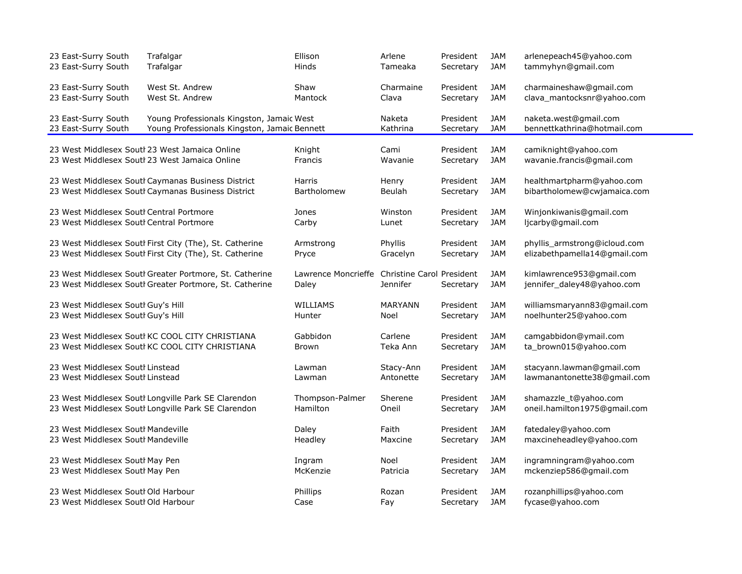| 23 East-Surry South<br>Trafalgar                                                                                                        | Ellison               | Arlene                           | President              | <b>JAM</b>               | arlenepeach45@yahoo.com                                  |
|-----------------------------------------------------------------------------------------------------------------------------------------|-----------------------|----------------------------------|------------------------|--------------------------|----------------------------------------------------------|
| 23 East-Surry South<br>Trafalgar                                                                                                        | Hinds                 | Tameaka                          | Secretary              | JAM                      | tammyhyn@gmail.com                                       |
| 23 East-Surry South<br>West St. Andrew                                                                                                  | Shaw                  | Charmaine                        | President              | JAM                      | charmaineshaw@gmail.com                                  |
| 23 East-Surry South<br>West St. Andrew                                                                                                  | Mantock               | Clava                            | Secretary              | JAM                      | clava_mantocksnr@yahoo.com                               |
|                                                                                                                                         |                       |                                  |                        |                          |                                                          |
| 23 East-Surry South<br>Young Professionals Kingston, Jamaic West<br>23 East-Surry South<br>Young Professionals Kingston, Jamaic Bennett |                       | Naketa<br>Kathrina               | President<br>Secretary | JAM<br><b>JAM</b>        | naketa.west@gmail.com<br>bennettkathrina@hotmail.com     |
|                                                                                                                                         |                       |                                  |                        |                          |                                                          |
| 23 West Middlesex Soutl 23 West Jamaica Online                                                                                          | Knight                | Cami                             | President              | JAM                      | camiknight@yahoo.com                                     |
| 23 West Middlesex Soutl 23 West Jamaica Online                                                                                          | Francis               | Wavanie                          | Secretary              | <b>JAM</b>               | wavanie.francis@gmail.com                                |
|                                                                                                                                         |                       |                                  |                        |                          |                                                          |
| 23 West Middlesex Soutl Caymanas Business District<br>23 West Middlesex Soutl Caymanas Business District                                | Harris<br>Bartholomew | Henry<br>Beulah                  | President<br>Secretary | <b>JAM</b><br><b>JAM</b> | healthmartpharm@yahoo.com<br>bibartholomew@cwjamaica.com |
|                                                                                                                                         |                       |                                  |                        |                          |                                                          |
| 23 West Middlesex Soutl Central Portmore                                                                                                | Jones                 | Winston                          | President              | <b>JAM</b>               | Winjonkiwanis@gmail.com                                  |
| 23 West Middlesex Soutl Central Portmore                                                                                                | Carby                 | Lunet                            | Secretary              | <b>JAM</b>               | ljcarby@gmail.com                                        |
|                                                                                                                                         |                       |                                  |                        |                          |                                                          |
| 23 West Middlesex Soutl First City (The), St. Catherine                                                                                 | Armstrong             | Phyllis                          | President              | JAM                      | phyllis_armstrong@icloud.com                             |
| 23 West Middlesex Soutl First City (The), St. Catherine                                                                                 | Pryce                 | Gracelyn                         | Secretary              | <b>JAM</b>               | elizabethpamella14@gmail.com                             |
| 23 West Middlesex Soutl Greater Portmore, St. Catherine                                                                                 | Lawrence Moncrieffe   | <b>Christine Carol President</b> |                        | JAM                      | kimlawrence953@gmail.com                                 |
| 23 West Middlesex Soutl Greater Portmore, St. Catherine                                                                                 | Daley                 | Jennifer                         | Secretary              | <b>JAM</b>               | jennifer_daley48@yahoo.com                               |
|                                                                                                                                         |                       |                                  |                        |                          |                                                          |
| 23 West Middlesex Soutl Guy's Hill                                                                                                      | WILLIAMS              | <b>MARYANN</b>                   | President              | <b>JAM</b>               | williamsmaryann83@gmail.com                              |
| 23 West Middlesex Soutl Guy's Hill                                                                                                      | Hunter                | Noel                             | Secretary              | JAM                      | noelhunter25@yahoo.com                                   |
| 23 West Middlesex Soutl KC COOL CITY CHRISTIANA                                                                                         | Gabbidon              | Carlene                          | President              | <b>JAM</b>               | camgabbidon@ymail.com                                    |
| 23 West Middlesex Soutl KC COOL CITY CHRISTIANA                                                                                         | <b>Brown</b>          | Teka Ann                         | Secretary              | JAM                      | ta_brown015@yahoo.com                                    |
|                                                                                                                                         |                       |                                  |                        |                          |                                                          |
| 23 West Middlesex South Linstead                                                                                                        | Lawman                | Stacy-Ann                        | President              | JAM                      | stacyann.lawman@gmail.com                                |
| 23 West Middlesex Soutl Linstead                                                                                                        | Lawman                | Antonette                        | Secretary              | <b>JAM</b>               | lawmanantonette38@gmail.com                              |
| 23 West Middlesex Soutl Longville Park SE Clarendon                                                                                     | Thompson-Palmer       | Sherene                          | President              | <b>JAM</b>               | shamazzle_t@yahoo.com                                    |
| 23 West Middlesex Soutl Longville Park SE Clarendon                                                                                     | Hamilton              | Oneil                            | Secretary              | <b>JAM</b>               | oneil.hamilton1975@gmail.com                             |
|                                                                                                                                         |                       |                                  |                        |                          |                                                          |
| 23 West Middlesex Soutl Mandeville                                                                                                      | Daley                 | Faith                            | President              | JAM                      | fatedaley@yahoo.com                                      |
| 23 West Middlesex Soutl Mandeville                                                                                                      | Headley               | Maxcine                          | Secretary              | <b>JAM</b>               | maxcineheadley@yahoo.com                                 |
|                                                                                                                                         |                       |                                  |                        |                          |                                                          |
| 23 West Middlesex Soutl May Pen                                                                                                         | Ingram                | Noel                             | President              | JAM                      | ingramningram@yahoo.com                                  |
| 23 West Middlesex Soutl May Pen                                                                                                         | McKenzie              | Patricia                         | Secretary              | JAM                      | mckenziep586@gmail.com                                   |
| 23 West Middlesex Soutl Old Harbour                                                                                                     | Phillips              | Rozan                            | President              | JAM                      | rozanphillips@yahoo.com                                  |
| 23 West Middlesex Soutl Old Harbour                                                                                                     | Case                  | Fay                              | Secretary              | JAM                      | fycase@yahoo.com                                         |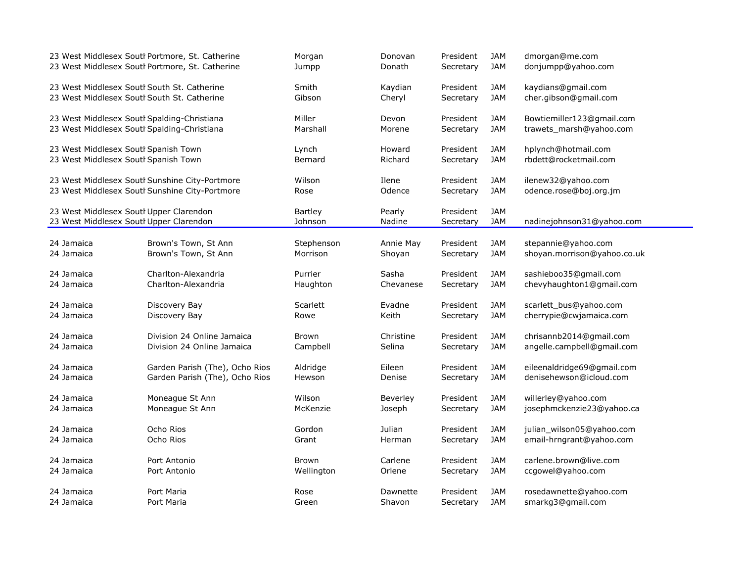|                                                                                    | 23 West Middlesex Soutl Portmore, St. Catherine | Morgan                    | Donovan          | President              | JAM               | dmorgan@me.com              |
|------------------------------------------------------------------------------------|-------------------------------------------------|---------------------------|------------------|------------------------|-------------------|-----------------------------|
|                                                                                    | 23 West Middlesex Soutl Portmore, St. Catherine | Jumpp                     | Donath           | Secretary              | <b>JAM</b>        | donjumpp@yahoo.com          |
| 23 West Middlesex Soutl South St. Catherine                                        |                                                 | Smith                     | Kaydian          | President              | <b>JAM</b>        | kaydians@gmail.com          |
| 23 West Middlesex Soutl South St. Catherine                                        |                                                 | Gibson                    | Cheryl           | Secretary              | <b>JAM</b>        | cher.gibson@gmail.com       |
| 23 West Middlesex Soutl Spalding-Christiana                                        |                                                 | Miller                    | Devon            | President              | JAM               | Bowtiemiller123@gmail.com   |
| 23 West Middlesex Soutl Spalding-Christiana                                        |                                                 | Marshall                  | Morene           | Secretary              | <b>JAM</b>        | trawets_marsh@yahoo.com     |
| 23 West Middlesex Soutl Spanish Town                                               |                                                 | Lynch                     | Howard           | President              | JAM               | hplynch@hotmail.com         |
| 23 West Middlesex Soutl Spanish Town                                               |                                                 | Bernard                   | Richard          | Secretary              | <b>JAM</b>        | rbdett@rocketmail.com       |
|                                                                                    | 23 West Middlesex Soutl Sunshine City-Portmore  | Wilson                    | Ilene            | President              | <b>JAM</b>        | ilenew32@yahoo.com          |
|                                                                                    | 23 West Middlesex Soutl Sunshine City-Portmore  | Rose                      | Odence           | Secretary              | <b>JAM</b>        | odence.rose@boj.org.jm      |
| 23 West Middlesex Soutl Upper Clarendon<br>23 West Middlesex Soutl Upper Clarendon |                                                 | <b>Bartley</b><br>Johnson | Pearly<br>Nadine | President<br>Secretary | JAM<br><b>JAM</b> | nadinejohnson31@yahoo.com   |
| 24 Jamaica                                                                         | Brown's Town, St Ann                            | Stephenson                | Annie May        | President              | JAM               | stepannie@yahoo.com         |
| 24 Jamaica                                                                         | Brown's Town, St Ann                            | Morrison                  | Shoyan           | Secretary              | <b>JAM</b>        | shoyan.morrison@yahoo.co.uk |
| 24 Jamaica                                                                         | Charlton-Alexandria                             | Purrier                   | Sasha            | President              | <b>JAM</b>        | sashieboo35@gmail.com       |
| 24 Jamaica                                                                         | Charlton-Alexandria                             | Haughton                  | Chevanese        | Secretary              | <b>JAM</b>        | chevyhaughton1@gmail.com    |
| 24 Jamaica                                                                         | Discovery Bay                                   | Scarlett                  | Evadne           | President              | JAM               | scarlett_bus@yahoo.com      |
| 24 Jamaica                                                                         | Discovery Bay                                   | Rowe                      | Keith            | Secretary              | <b>JAM</b>        | cherrypie@cwjamaica.com     |
| 24 Jamaica                                                                         | Division 24 Online Jamaica                      | <b>Brown</b>              | Christine        | President              | JAM               | chrisannb2014@gmail.com     |
| 24 Jamaica                                                                         | Division 24 Online Jamaica                      | Campbell                  | Selina           | Secretary              | <b>JAM</b>        | angelle.campbell@gmail.com  |
| 24 Jamaica                                                                         | Garden Parish (The), Ocho Rios                  | Aldridge                  | Eileen           | President              | <b>JAM</b>        | eileenaldridge69@gmail.com  |
| 24 Jamaica                                                                         | Garden Parish (The), Ocho Rios                  | Hewson                    | Denise           | Secretary              | <b>JAM</b>        | denisehewson@icloud.com     |
| 24 Jamaica                                                                         | Moneague St Ann                                 | Wilson                    | Beverley         | President              | <b>JAM</b>        | willerley@yahoo.com         |
| 24 Jamaica                                                                         | Moneague St Ann                                 | McKenzie                  | Joseph           | Secretary              | <b>JAM</b>        | josephmckenzie23@yahoo.ca   |
| 24 Jamaica                                                                         | Ocho Rios                                       | Gordon                    | Julian           | President              | JAM               | julian_wilson05@yahoo.com   |
| 24 Jamaica                                                                         | Ocho Rios                                       | Grant                     | Herman           | Secretary              | <b>JAM</b>        | email-hrngrant@yahoo.com    |
| 24 Jamaica                                                                         | Port Antonio                                    | Brown                     | Carlene          | President              | <b>JAM</b>        | carlene.brown@live.com      |
| 24 Jamaica                                                                         | Port Antonio                                    | Wellington                | Orlene           | Secretary              | <b>JAM</b>        | ccgowel@yahoo.com           |
| 24 Jamaica                                                                         | Port Maria                                      | Rose                      | Dawnette         | President              | JAM               | rosedawnette@yahoo.com      |
| 24 Jamaica                                                                         | Port Maria                                      | Green                     | Shavon           | Secretary              | <b>JAM</b>        | smarkg3@gmail.com           |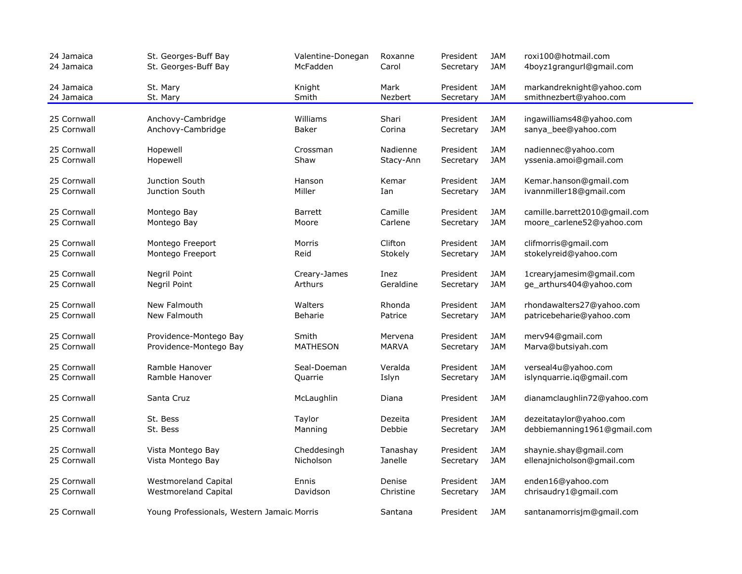| 24 Jamaica<br>24 Jamaica | St. Georges-Buff Bay<br>St. Georges-Buff Bay | Valentine-Donegan<br>McFadden | Roxanne<br>Carol | President<br>Secretary | <b>JAM</b><br><b>JAM</b> | roxi100@hotmail.com<br>4boyz1grangurl@gmail.com     |
|--------------------------|----------------------------------------------|-------------------------------|------------------|------------------------|--------------------------|-----------------------------------------------------|
| 24 Jamaica<br>24 Jamaica | St. Mary<br>St. Mary                         | Knight<br>Smith               | Mark<br>Nezbert  | President<br>Secretary | <b>JAM</b><br><b>JAM</b> | markandreknight@yahoo.com<br>smithnezbert@yahoo.com |
|                          |                                              |                               |                  |                        |                          |                                                     |
| 25 Cornwall              | Anchovy-Cambridge                            | Williams                      | Shari            | President              | <b>JAM</b>               | ingawilliams48@yahoo.com                            |
| 25 Cornwall              | Anchovy-Cambridge                            | Baker                         | Corina           | Secretary              | <b>JAM</b>               | sanya bee@yahoo.com                                 |
| 25 Cornwall              | Hopewell                                     | Crossman                      | Nadienne         | President              | <b>JAM</b>               | nadiennec@yahoo.com                                 |
| 25 Cornwall              | Hopewell                                     | Shaw                          | Stacy-Ann        | Secretary              | <b>JAM</b>               | yssenia.amoi@gmail.com                              |
| 25 Cornwall              | Junction South                               | Hanson                        | Kemar            | President              | <b>JAM</b>               | Kemar.hanson@gmail.com                              |
| 25 Cornwall              | Junction South                               | Miller                        | Ian              | Secretary              | <b>JAM</b>               | ivannmiller18@gmail.com                             |
| 25 Cornwall              | Montego Bay                                  | <b>Barrett</b>                | Camille          | President              | <b>JAM</b>               | camille.barrett2010@gmail.com                       |
| 25 Cornwall              | Montego Bay                                  | Moore                         | Carlene          | Secretary              | <b>JAM</b>               | moore_carlene52@yahoo.com                           |
| 25 Cornwall              | Montego Freeport                             | Morris                        | Clifton          | President              | <b>JAM</b>               | clifmorris@gmail.com                                |
| 25 Cornwall              | Montego Freeport                             | Reid                          | Stokely          | Secretary              | <b>JAM</b>               | stokelyreid@yahoo.com                               |
| 25 Cornwall              | Negril Point                                 | Creary-James                  | Inez             | President              | <b>JAM</b>               | 1crearyjamesim@gmail.com                            |
| 25 Cornwall              | Negril Point                                 | Arthurs                       | Geraldine        | Secretary              | <b>JAM</b>               | ge_arthurs404@yahoo.com                             |
| 25 Cornwall              | New Falmouth                                 | Walters                       | Rhonda           | President              | <b>JAM</b>               | rhondawalters27@yahoo.com                           |
| 25 Cornwall              | New Falmouth                                 | Beharie                       | Patrice          | Secretary              | <b>JAM</b>               | patricebeharie@yahoo.com                            |
| 25 Cornwall              | Providence-Montego Bay                       | Smith                         | Mervena          | President              | <b>JAM</b>               | merv94@gmail.com                                    |
| 25 Cornwall              | Providence-Montego Bay                       | <b>MATHESON</b>               | <b>MARVA</b>     | Secretary              | <b>JAM</b>               | Marva@butsiyah.com                                  |
| 25 Cornwall              | Ramble Hanover                               | Seal-Doeman                   | Veralda          | President              | <b>JAM</b>               | verseal4u@yahoo.com                                 |
| 25 Cornwall              | Ramble Hanover                               | Quarrie                       | Islyn            | Secretary              | <b>JAM</b>               | islynquarrie.iq@gmail.com                           |
| 25 Cornwall              | Santa Cruz                                   | McLaughlin                    | Diana            | President              | <b>JAM</b>               | dianamclaughlin72@yahoo.com                         |
| 25 Cornwall              | St. Bess                                     | Taylor                        | Dezeita          | President              | <b>JAM</b>               | dezeitataylor@yahoo.com                             |
| 25 Cornwall              | St. Bess                                     | Manning                       | Debbie           | Secretary              | <b>JAM</b>               | debbiemanning1961@gmail.com                         |
| 25 Cornwall              | Vista Montego Bay                            | Cheddesingh                   | Tanashay         | President              | <b>JAM</b>               | shaynie.shay@gmail.com                              |
| 25 Cornwall              | Vista Montego Bay                            | Nicholson                     | Janelle          | Secretary              | <b>JAM</b>               | ellenajnicholson@gmail.com                          |
| 25 Cornwall              | Westmoreland Capital                         | Ennis                         | Denise           | President              | <b>JAM</b>               | enden16@yahoo.com                                   |
| 25 Cornwall              | Westmoreland Capital                         | Davidson                      | Christine        | Secretary              | <b>JAM</b>               | chrisaudry1@gmail.com                               |
| 25 Cornwall              | Young Professionals, Western Jamaic Morris   |                               | Santana          | President              | <b>JAM</b>               | santanamorrisjm@gmail.com                           |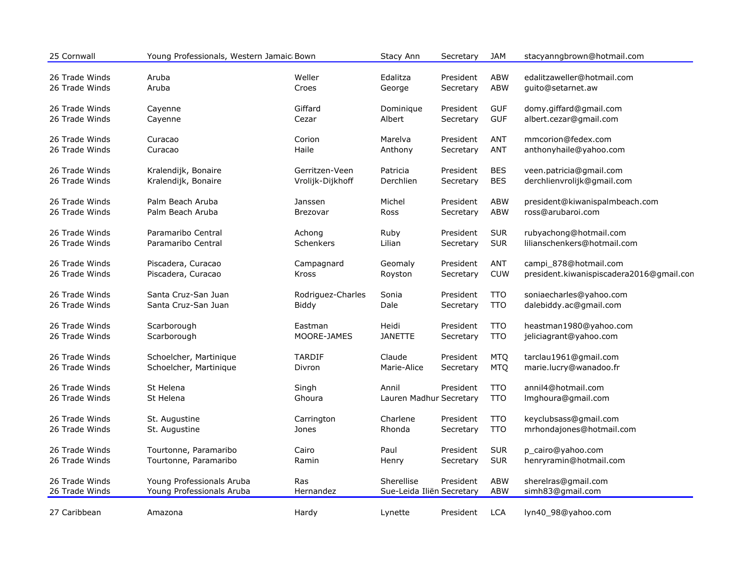| 25 Cornwall    | Young Professionals, Western Jamaic Bown |                   | Stacy Ann                 | Secretary | <b>JAM</b> | stacyanngbrown@hotmail.com               |
|----------------|------------------------------------------|-------------------|---------------------------|-----------|------------|------------------------------------------|
| 26 Trade Winds | Aruba                                    | Weller            | Edalitza                  | President | <b>ABW</b> | edalitzaweller@hotmail.com               |
| 26 Trade Winds | Aruba                                    | Croes             | George                    | Secretary | <b>ABW</b> | guito@setarnet.aw                        |
| 26 Trade Winds | Cayenne                                  | Giffard           | Dominique                 | President | <b>GUF</b> | domy.giffard@gmail.com                   |
| 26 Trade Winds | Cayenne                                  | Cezar             | Albert                    | Secretary | <b>GUF</b> | albert.cezar@gmail.com                   |
| 26 Trade Winds | Curacao                                  | Corion            | Marelva                   | President | <b>ANT</b> | mmcorion@fedex.com                       |
| 26 Trade Winds | Curacao                                  | Haile             | Anthony                   | Secretary | <b>ANT</b> | anthonyhaile@yahoo.com                   |
| 26 Trade Winds | Kralendijk, Bonaire                      | Gerritzen-Veen    | Patricia                  | President | <b>BES</b> | veen.patricia@gmail.com                  |
| 26 Trade Winds | Kralendijk, Bonaire                      | Vrolijk-Dijkhoff  | Derchlien                 | Secretary | <b>BES</b> | derchlienvrolijk@gmail.com               |
| 26 Trade Winds | Palm Beach Aruba                         | Janssen           | Michel                    | President | <b>ABW</b> | president@kiwanispalmbeach.com           |
| 26 Trade Winds | Palm Beach Aruba                         | Brezovar          | Ross                      | Secretary | <b>ABW</b> | ross@arubaroi.com                        |
| 26 Trade Winds | Paramaribo Central                       | Achong            | Ruby                      | President | <b>SUR</b> | rubyachong@hotmail.com                   |
| 26 Trade Winds | Paramaribo Central                       | Schenkers         | Lilian                    | Secretary | <b>SUR</b> | lilianschenkers@hotmail.com              |
| 26 Trade Winds | Piscadera, Curacao                       | Campagnard        | Geomaly                   | President | ANT        | campi 878@hotmail.com                    |
| 26 Trade Winds | Piscadera, Curacao                       | Kross             | Royston                   | Secretary | <b>CUW</b> | president.kiwanispiscadera2016@gmail.con |
| 26 Trade Winds | Santa Cruz-San Juan                      | Rodriguez-Charles | Sonia                     | President | <b>TTO</b> | soniaecharles@yahoo.com                  |
| 26 Trade Winds | Santa Cruz-San Juan                      | Biddy             | Dale                      | Secretary | <b>TTO</b> | dalebiddy.ac@gmail.com                   |
| 26 Trade Winds | Scarborough                              | Eastman           | Heidi                     | President | <b>TTO</b> | heastman1980@yahoo.com                   |
| 26 Trade Winds | Scarborough                              | MOORE-JAMES       | <b>JANETTE</b>            | Secretary | <b>TTO</b> | jeliciagrant@yahoo.com                   |
| 26 Trade Winds | Schoelcher, Martinique                   | <b>TARDIF</b>     | Claude                    | President | <b>MTQ</b> | tarclau1961@gmail.com                    |
| 26 Trade Winds | Schoelcher, Martinique                   | Divron            | Marie-Alice               | Secretary | <b>MTQ</b> | marie.lucry@wanadoo.fr                   |
| 26 Trade Winds | St Helena                                | Singh             | Annil                     | President | <b>TTO</b> | annil4@hotmail.com                       |
| 26 Trade Winds | St Helena                                | Ghoura            | Lauren Madhur Secretary   |           | <b>TTO</b> | Imghoura@gmail.com                       |
| 26 Trade Winds | St. Augustine                            | Carrington        | Charlene                  | President | <b>TTO</b> | keyclubsass@gmail.com                    |
| 26 Trade Winds | St. Augustine                            | Jones             | Rhonda                    | Secretary | <b>TTO</b> | mrhondajones@hotmail.com                 |
| 26 Trade Winds | Tourtonne, Paramaribo                    | Cairo             | Paul                      | President | <b>SUR</b> | p_cairo@yahoo.com                        |
| 26 Trade Winds | Tourtonne, Paramaribo                    | Ramin             | Henry                     | Secretary | <b>SUR</b> | henryramin@hotmail.com                   |
| 26 Trade Winds | Young Professionals Aruba                | Ras               | Sherellise                | President | ABW        | sherelras@gmail.com                      |
| 26 Trade Winds | Young Professionals Aruba                | Hernandez         | Sue-Leida Iliën Secretary |           | <b>ABW</b> | simh83@gmail.com                         |
| 27 Caribbean   | Amazona                                  | Hardy             | Lynette                   | President | <b>LCA</b> | lyn40_98@yahoo.com                       |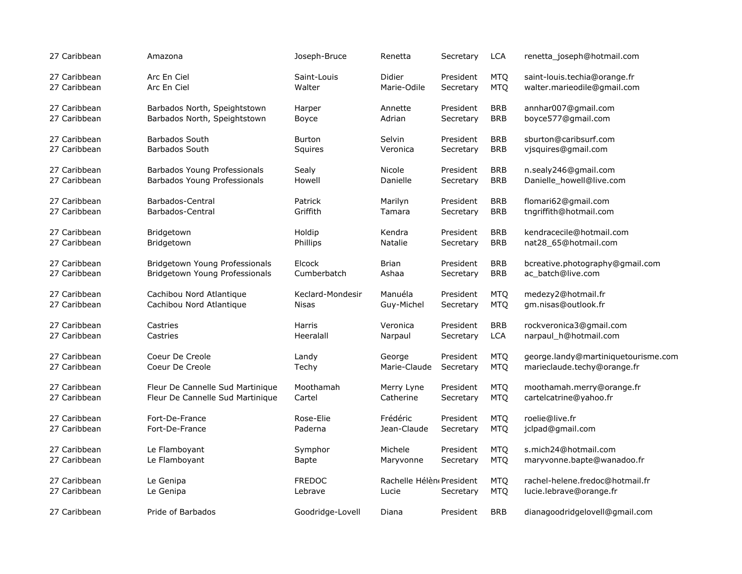| 27 Caribbean | Amazona                          | Joseph-Bruce     | Renetta                  | Secretary | <b>LCA</b> | renetta joseph@hotmail.com          |
|--------------|----------------------------------|------------------|--------------------------|-----------|------------|-------------------------------------|
| 27 Caribbean | Arc En Ciel                      | Saint-Louis      | Didier                   | President | <b>MTO</b> | saint-louis.techia@orange.fr        |
| 27 Caribbean | Arc En Ciel                      | Walter           | Marie-Odile              | Secretary | <b>MTQ</b> | walter.marieodile@gmail.com         |
| 27 Caribbean | Barbados North, Speightstown     | Harper           | Annette                  | President | <b>BRB</b> | annhar007@gmail.com                 |
| 27 Caribbean | Barbados North, Speightstown     | <b>Boyce</b>     | Adrian                   | Secretary | <b>BRB</b> | boyce577@gmail.com                  |
| 27 Caribbean | <b>Barbados South</b>            | <b>Burton</b>    | Selvin                   | President | <b>BRB</b> | sburton@caribsurf.com               |
| 27 Caribbean | <b>Barbados South</b>            | Squires          | Veronica                 | Secretary | <b>BRB</b> | vjsquires@gmail.com                 |
| 27 Caribbean | Barbados Young Professionals     | Sealy            | Nicole                   | President | <b>BRB</b> | n.sealy246@gmail.com                |
| 27 Caribbean | Barbados Young Professionals     | Howell           | Danielle                 | Secretary | <b>BRB</b> | Danielle_howell@live.com            |
| 27 Caribbean | Barbados-Central                 | Patrick          | Marilyn                  | President | <b>BRB</b> | flomari62@gmail.com                 |
| 27 Caribbean | Barbados-Central                 | Griffith         | Tamara                   | Secretary | <b>BRB</b> | tngriffith@hotmail.com              |
| 27 Caribbean | Bridgetown                       | Holdip           | Kendra                   | President | <b>BRB</b> | kendracecile@hotmail.com            |
| 27 Caribbean | Bridgetown                       | <b>Phillips</b>  | Natalie                  | Secretary | <b>BRB</b> | nat28_65@hotmail.com                |
| 27 Caribbean | Bridgetown Young Professionals   | Elcock           | <b>Brian</b>             | President | <b>BRB</b> | bcreative.photography@gmail.com     |
| 27 Caribbean | Bridgetown Young Professionals   | Cumberbatch      | Ashaa                    | Secretary | <b>BRB</b> | ac_batch@live.com                   |
| 27 Caribbean | Cachibou Nord Atlantique         | Keclard-Mondesir | Manuéla                  | President | <b>MTQ</b> | medezy2@hotmail.fr                  |
| 27 Caribbean | Cachibou Nord Atlantique         | Nisas            | Guy-Michel               | Secretary | <b>MTQ</b> | gm.nisas@outlook.fr                 |
| 27 Caribbean | Castries                         | Harris           | Veronica                 | President | <b>BRB</b> | rockveronica3@gmail.com             |
| 27 Caribbean | Castries                         | Heeralall        | Narpaul                  | Secretary | <b>LCA</b> | narpaul_h@hotmail.com               |
| 27 Caribbean | Coeur De Creole                  | Landy            | George                   | President | <b>MTQ</b> | george.landy@martiniquetourisme.com |
| 27 Caribbean | Coeur De Creole                  | Techy            | Marie-Claude             | Secretary | <b>MTQ</b> | marieclaude.techy@orange.fr         |
| 27 Caribbean | Fleur De Cannelle Sud Martinique | Moothamah        | Merry Lyne               | President | <b>MTQ</b> | moothamah.merry@orange.fr           |
| 27 Caribbean | Fleur De Cannelle Sud Martinique | Cartel           | Catherine                | Secretary | <b>MTQ</b> | cartelcatrine@yahoo.fr              |
| 27 Caribbean | Fort-De-France                   | Rose-Elie        | Frédéric                 | President | <b>MTQ</b> | roelie@live.fr                      |
| 27 Caribbean | Fort-De-France                   | Paderna          | Jean-Claude              | Secretary | <b>MTQ</b> | jclpad@gmail.com                    |
| 27 Caribbean | Le Flamboyant                    | Symphor          | Michele                  | President | <b>MTQ</b> | s.mich24@hotmail.com                |
| 27 Caribbean | Le Flamboyant                    | <b>Bapte</b>     | Maryvonne                | Secretary | <b>MTQ</b> | maryvonne.bapte@wanadoo.fr          |
| 27 Caribbean | Le Genipa                        | <b>FREDOC</b>    | Rachelle Hélèn President | Secretary | <b>MTQ</b> | rachel-helene.fredoc@hotmail.fr     |
| 27 Caribbean | Le Genipa                        | Lebrave          | Lucie                    |           | <b>MTQ</b> | lucie.lebrave@orange.fr             |
| 27 Caribbean | Pride of Barbados                | Goodridge-Lovell | Diana                    | President | <b>BRB</b> | dianagoodridgelovell@gmail.com      |